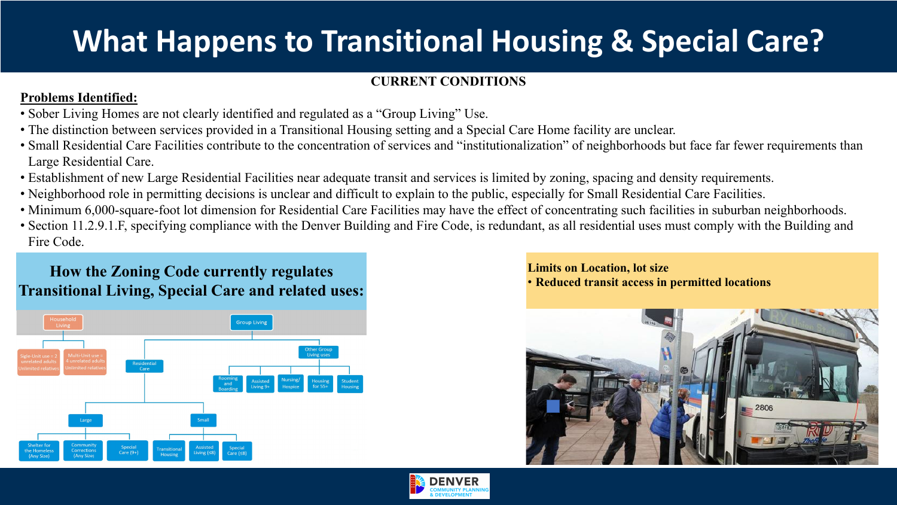# **What Happens to Transitional Housing & Special Care?**

## **CURRENT CONDITIONS**

• Sober Living Homes are not clearly identified and regulated as a "Group Living" Use. • The distinction between services provided in a Transitional Housing setting and a Special Care Home facility are unclear. • Small Residential Care Facilities contribute to the concentration of services and "institutionalization" of neighborhoods but face far fewer requirements than

### **Problems Identified:**

- 
- 
- Large Residential Care.
- 
- 
- 
- Fire Code.

• Establishment of new Large Residential Facilities near adequate transit and services is limited by zoning, spacing and density requirements. • Neighborhood role in permitting decisions is unclear and difficult to explain to the public, especially for Small Residential Care Facilities. • Minimum 6,000-square-foot lot dimension for Residential Care Facilities may have the effect of concentrating such facilities in suburban neighborhoods. • Section 11.2.9.1.F, specifying compliance with the Denver Building and Fire Code, is redundant, as all residential uses must comply with the Building and





**Limits on Location, lot size** • **Reduced transit access in permitted locations How the Zoning Code currently regulates** 



## **Transitional Living, Special Care and related uses:**